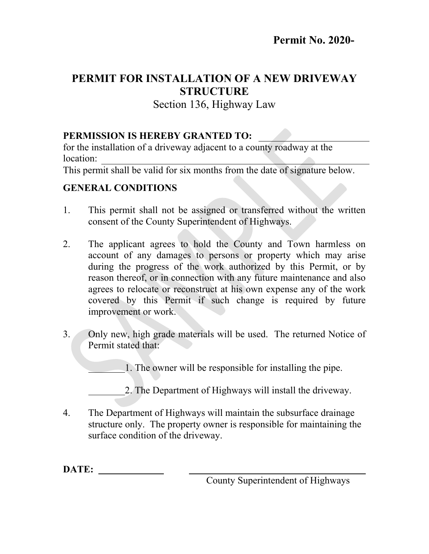## **PERMIT FOR INSTALLATION OF A NEW DRIVEWAY STRUCTURE**

Section 136, Highway Law

## **PERMISSION IS HEREBY GRANTED TO:**

for the installation of a driveway adjacent to a county roadway at the location:

This permit shall be valid for six months from the date of signature below.

## **GENERAL CONDITIONS**

- 1. This permit shall not be assigned or transferred without the written consent of the County Superintendent of Highways.
- 2. The applicant agrees to hold the County and Town harmless on account of any damages to persons or property which may arise during the progress of the work authorized by this Permit, or by reason thereof, or in connection with any future maintenance and also agrees to relocate or reconstruct at his own expense any of the work covered by this Permit if such change is required by future improvement or work.
- 3. Only new, high grade materials will be used. The returned Notice of Permit stated that:

1. The owner will be responsible for installing the pipe.

2. The Department of Highways will install the driveway.

4. The Department of Highways will maintain the subsurface drainage structure only. The property owner is responsible for maintaining the surface condition of the driveway.

**DATE:** 

County Superintendent of Highways